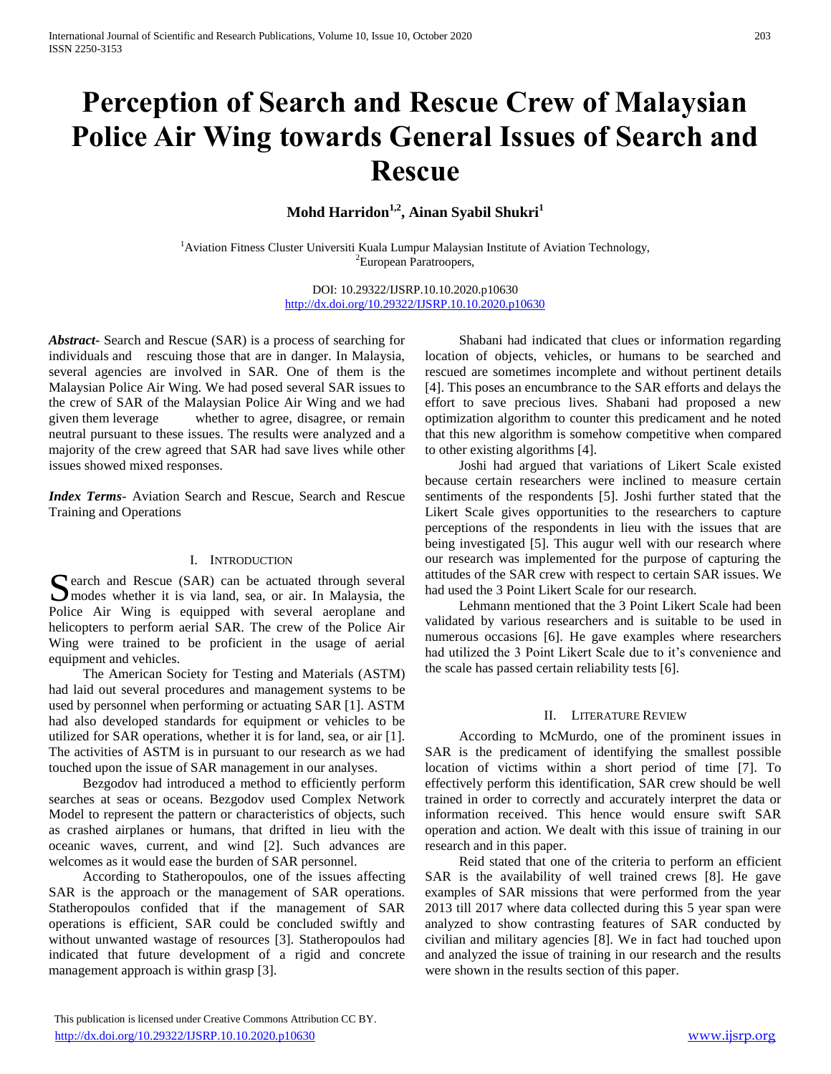# **Perception of Search and Rescue Crew of Malaysian Police Air Wing towards General Issues of Search and Rescue**

**Mohd Harridon1,2, Ainan Syabil Shukri<sup>1</sup>**

<sup>1</sup> Aviation Fitness Cluster Universiti Kuala Lumpur Malaysian Institute of Aviation Technology, <sup>2</sup>European Paratroopers,

> DOI: 10.29322/IJSRP.10.10.2020.p10630 <http://dx.doi.org/10.29322/IJSRP.10.10.2020.p10630>

*Abstract***-** Search and Rescue (SAR) is a process of searching for individuals and rescuing those that are in danger. In Malaysia, several agencies are involved in SAR. One of them is the Malaysian Police Air Wing. We had posed several SAR issues to the crew of SAR of the Malaysian Police Air Wing and we had given them leverage whether to agree, disagree, or remain neutral pursuant to these issues. The results were analyzed and a majority of the crew agreed that SAR had save lives while other issues showed mixed responses.

*Index Terms*- Aviation Search and Rescue, Search and Rescue Training and Operations

# I. INTRODUCTION

earch and Rescue (SAR) can be actuated through several Search and Rescue (SAR) can be actuated through several<br>
modes whether it is via land, sea, or air. In Malaysia, the Police Air Wing is equipped with several aeroplane and helicopters to perform aerial SAR. The crew of the Police Air Wing were trained to be proficient in the usage of aerial equipment and vehicles.

 The American Society for Testing and Materials (ASTM) had laid out several procedures and management systems to be used by personnel when performing or actuating SAR [1]. ASTM had also developed standards for equipment or vehicles to be utilized for SAR operations, whether it is for land, sea, or air [1]. The activities of ASTM is in pursuant to our research as we had touched upon the issue of SAR management in our analyses.

 Bezgodov had introduced a method to efficiently perform searches at seas or oceans. Bezgodov used Complex Network Model to represent the pattern or characteristics of objects, such as crashed airplanes or humans, that drifted in lieu with the oceanic waves, current, and wind [2]. Such advances are welcomes as it would ease the burden of SAR personnel.

 According to Statheropoulos, one of the issues affecting SAR is the approach or the management of SAR operations. Statheropoulos confided that if the management of SAR operations is efficient, SAR could be concluded swiftly and without unwanted wastage of resources [3]. Statheropoulos had indicated that future development of a rigid and concrete management approach is within grasp [3].

 Shabani had indicated that clues or information regarding location of objects, vehicles, or humans to be searched and rescued are sometimes incomplete and without pertinent details [4]. This poses an encumbrance to the SAR efforts and delays the effort to save precious lives. Shabani had proposed a new optimization algorithm to counter this predicament and he noted that this new algorithm is somehow competitive when compared to other existing algorithms [4].

 Joshi had argued that variations of Likert Scale existed because certain researchers were inclined to measure certain sentiments of the respondents [5]. Joshi further stated that the Likert Scale gives opportunities to the researchers to capture perceptions of the respondents in lieu with the issues that are being investigated [5]. This augur well with our research where our research was implemented for the purpose of capturing the attitudes of the SAR crew with respect to certain SAR issues. We had used the 3 Point Likert Scale for our research.

 Lehmann mentioned that the 3 Point Likert Scale had been validated by various researchers and is suitable to be used in numerous occasions [6]. He gave examples where researchers had utilized the 3 Point Likert Scale due to it's convenience and the scale has passed certain reliability tests [6].

## II. LITERATURE REVIEW

 According to McMurdo, one of the prominent issues in SAR is the predicament of identifying the smallest possible location of victims within a short period of time [7]. To effectively perform this identification, SAR crew should be well trained in order to correctly and accurately interpret the data or information received. This hence would ensure swift SAR operation and action. We dealt with this issue of training in our research and in this paper.

 Reid stated that one of the criteria to perform an efficient SAR is the availability of well trained crews [8]. He gave examples of SAR missions that were performed from the year 2013 till 2017 where data collected during this 5 year span were analyzed to show contrasting features of SAR conducted by civilian and military agencies [8]. We in fact had touched upon and analyzed the issue of training in our research and the results were shown in the results section of this paper.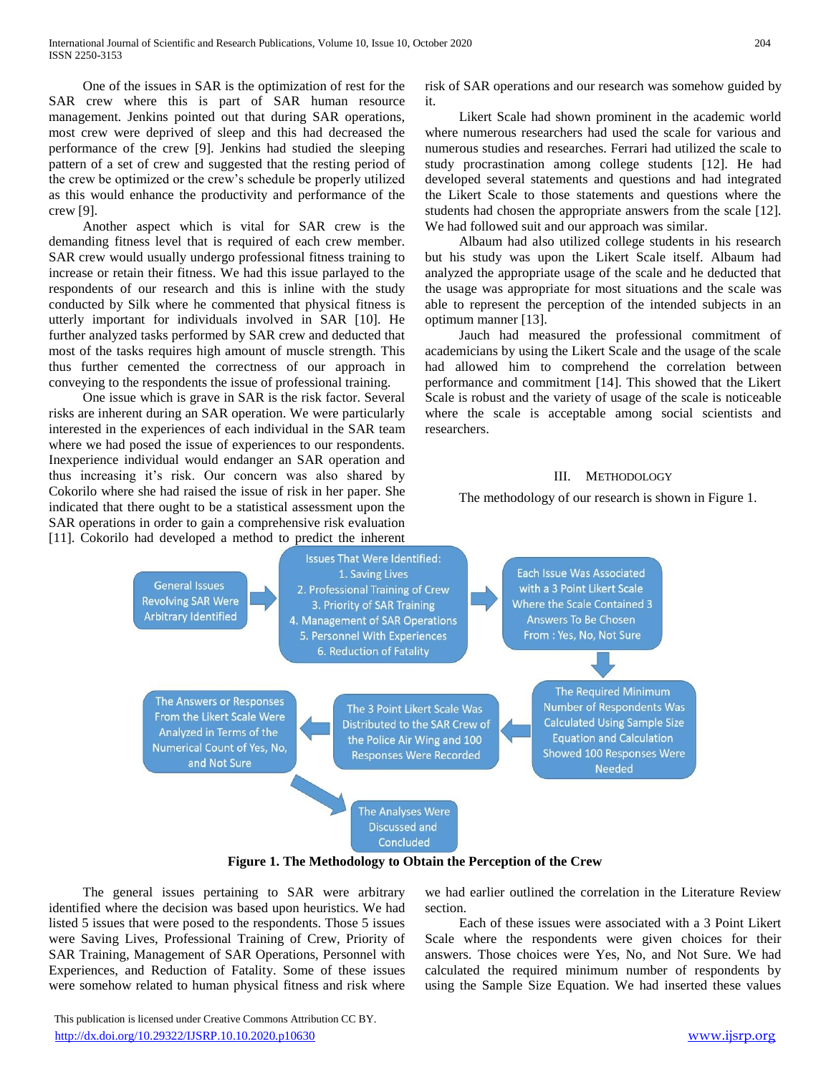One of the issues in SAR is the optimization of rest for the SAR crew where this is part of SAR human resource management. Jenkins pointed out that during SAR operations, most crew were deprived of sleep and this had decreased the performance of the crew [9]. Jenkins had studied the sleeping pattern of a set of crew and suggested that the resting period of the crew be optimized or the crew's schedule be properly utilized as this would enhance the productivity and performance of the crew [9].

 Another aspect which is vital for SAR crew is the demanding fitness level that is required of each crew member. SAR crew would usually undergo professional fitness training to increase or retain their fitness. We had this issue parlayed to the respondents of our research and this is inline with the study conducted by Silk where he commented that physical fitness is utterly important for individuals involved in SAR [10]. He further analyzed tasks performed by SAR crew and deducted that most of the tasks requires high amount of muscle strength. This thus further cemented the correctness of our approach in conveying to the respondents the issue of professional training.

 One issue which is grave in SAR is the risk factor. Several risks are inherent during an SAR operation. We were particularly interested in the experiences of each individual in the SAR team where we had posed the issue of experiences to our respondents. Inexperience individual would endanger an SAR operation and thus increasing it's risk. Our concern was also shared by Cokorilo where she had raised the issue of risk in her paper. She indicated that there ought to be a statistical assessment upon the SAR operations in order to gain a comprehensive risk evaluation [11]. Cokorilo had developed a method to predict the inherent

risk of SAR operations and our research was somehow guided by it.

 Likert Scale had shown prominent in the academic world where numerous researchers had used the scale for various and numerous studies and researches. Ferrari had utilized the scale to study procrastination among college students [12]. He had developed several statements and questions and had integrated the Likert Scale to those statements and questions where the students had chosen the appropriate answers from the scale [12]. We had followed suit and our approach was similar.

 Albaum had also utilized college students in his research but his study was upon the Likert Scale itself. Albaum had analyzed the appropriate usage of the scale and he deducted that the usage was appropriate for most situations and the scale was able to represent the perception of the intended subjects in an optimum manner [13].

 Jauch had measured the professional commitment of academicians by using the Likert Scale and the usage of the scale had allowed him to comprehend the correlation between performance and commitment [14]. This showed that the Likert Scale is robust and the variety of usage of the scale is noticeable where the scale is acceptable among social scientists and researchers.

#### III. METHODOLOGY

The methodology of our research is shown in Figure 1.



**Figure 1. The Methodology to Obtain the Perception of the Crew**

 The general issues pertaining to SAR were arbitrary identified where the decision was based upon heuristics. We had listed 5 issues that were posed to the respondents. Those 5 issues were Saving Lives, Professional Training of Crew, Priority of SAR Training, Management of SAR Operations, Personnel with Experiences, and Reduction of Fatality. Some of these issues were somehow related to human physical fitness and risk where we had earlier outlined the correlation in the Literature Review section.

 Each of these issues were associated with a 3 Point Likert Scale where the respondents were given choices for their answers. Those choices were Yes, No, and Not Sure. We had calculated the required minimum number of respondents by using the Sample Size Equation. We had inserted these values

 This publication is licensed under Creative Commons Attribution CC BY. <http://dx.doi.org/10.29322/IJSRP.10.10.2020.p10630> [www.ijsrp.org](http://ijsrp.org/)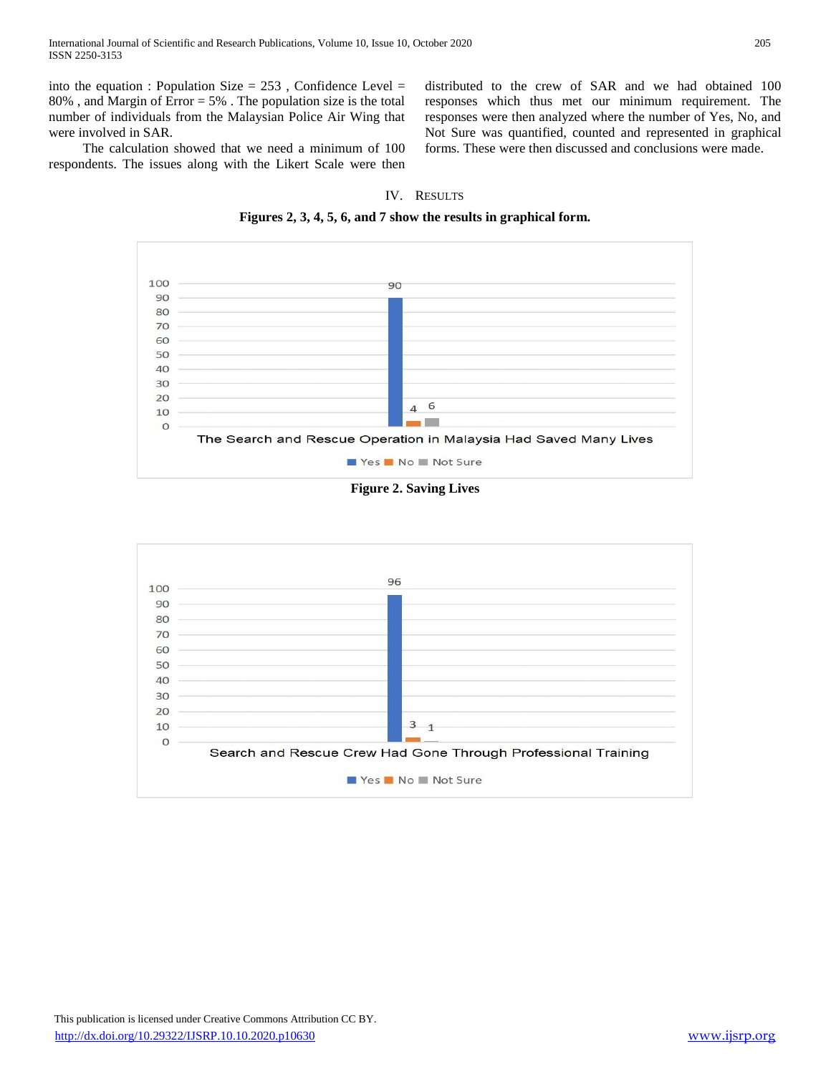into the equation : Population Size  $= 253$ , Confidence Level  $=$ 80% , and Margin of Error = 5% . The population size is the total number of individuals from the Malaysian Police Air Wing that were involved in SAR.

 The calculation showed that we need a minimum of 100 respondents. The issues along with the Likert Scale were then distributed to the crew of SAR and we had obtained 100 responses which thus met our minimum requirement. The responses were then analyzed where the number of Yes, No, and Not Sure was quantified, counted and represented in graphical forms. These were then discussed and conclusions were made.

### IV. RESULTS

**Figures 2, 3, 4, 5, 6, and 7 show the results in graphical form.**



**Figure 2. Saving Lives**

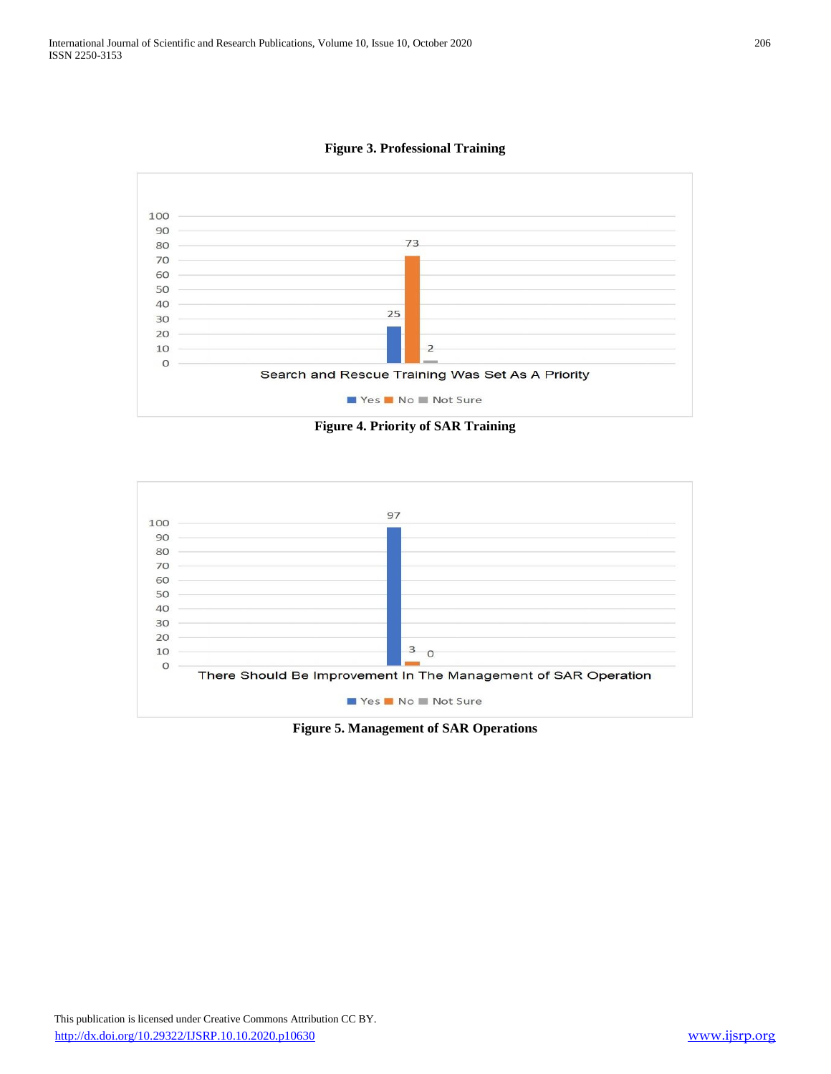**Figure 3. Professional Training**



**Figure 4. Priority of SAR Training**



**Figure 5. Management of SAR Operations**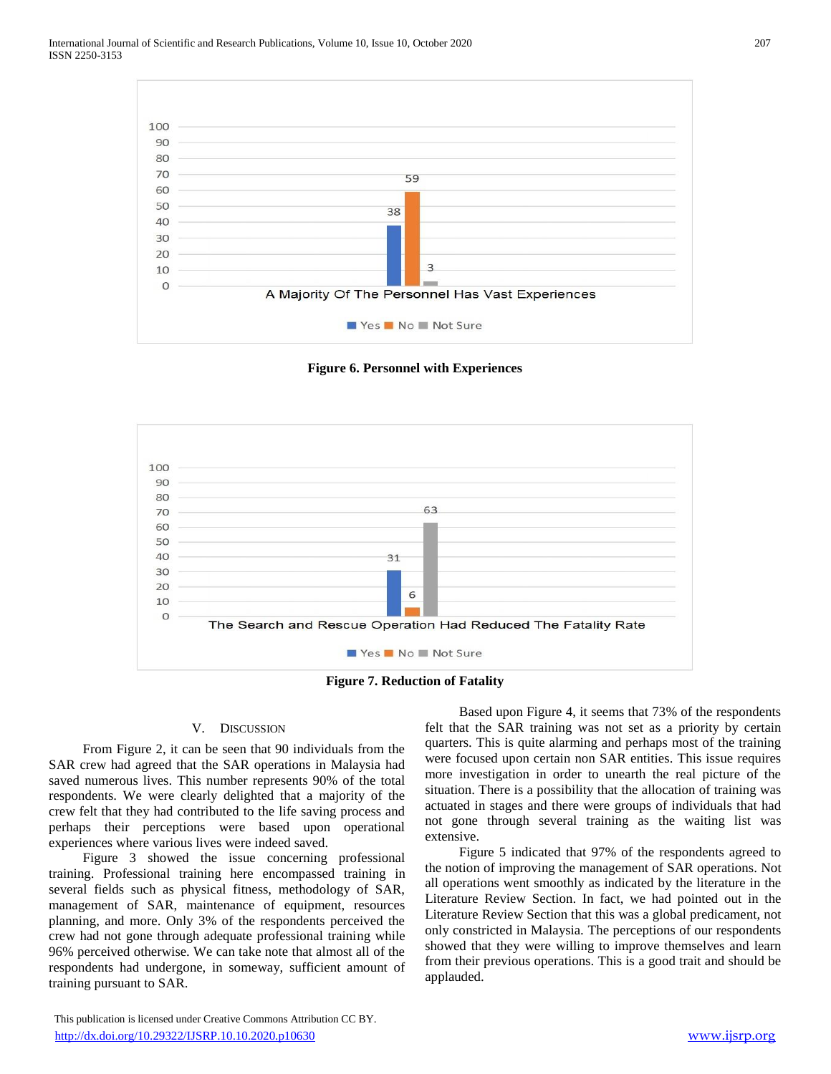

**Figure 6. Personnel with Experiences**



**Figure 7. Reduction of Fatality**

## V. DISCUSSION

 From Figure 2, it can be seen that 90 individuals from the SAR crew had agreed that the SAR operations in Malaysia had saved numerous lives. This number represents 90% of the total respondents. We were clearly delighted that a majority of the crew felt that they had contributed to the life saving process and perhaps their perceptions were based upon operational experiences where various lives were indeed saved.

 Figure 3 showed the issue concerning professional training. Professional training here encompassed training in several fields such as physical fitness, methodology of SAR, management of SAR, maintenance of equipment, resources planning, and more. Only 3% of the respondents perceived the crew had not gone through adequate professional training while 96% perceived otherwise. We can take note that almost all of the respondents had undergone, in someway, sufficient amount of training pursuant to SAR.

 This publication is licensed under Creative Commons Attribution CC BY. <http://dx.doi.org/10.29322/IJSRP.10.10.2020.p10630> [www.ijsrp.org](http://ijsrp.org/)

 Based upon Figure 4, it seems that 73% of the respondents felt that the SAR training was not set as a priority by certain quarters. This is quite alarming and perhaps most of the training were focused upon certain non SAR entities. This issue requires more investigation in order to unearth the real picture of the situation. There is a possibility that the allocation of training was actuated in stages and there were groups of individuals that had not gone through several training as the waiting list was extensive.

 Figure 5 indicated that 97% of the respondents agreed to the notion of improving the management of SAR operations. Not all operations went smoothly as indicated by the literature in the Literature Review Section. In fact, we had pointed out in the Literature Review Section that this was a global predicament, not only constricted in Malaysia. The perceptions of our respondents showed that they were willing to improve themselves and learn from their previous operations. This is a good trait and should be applauded.